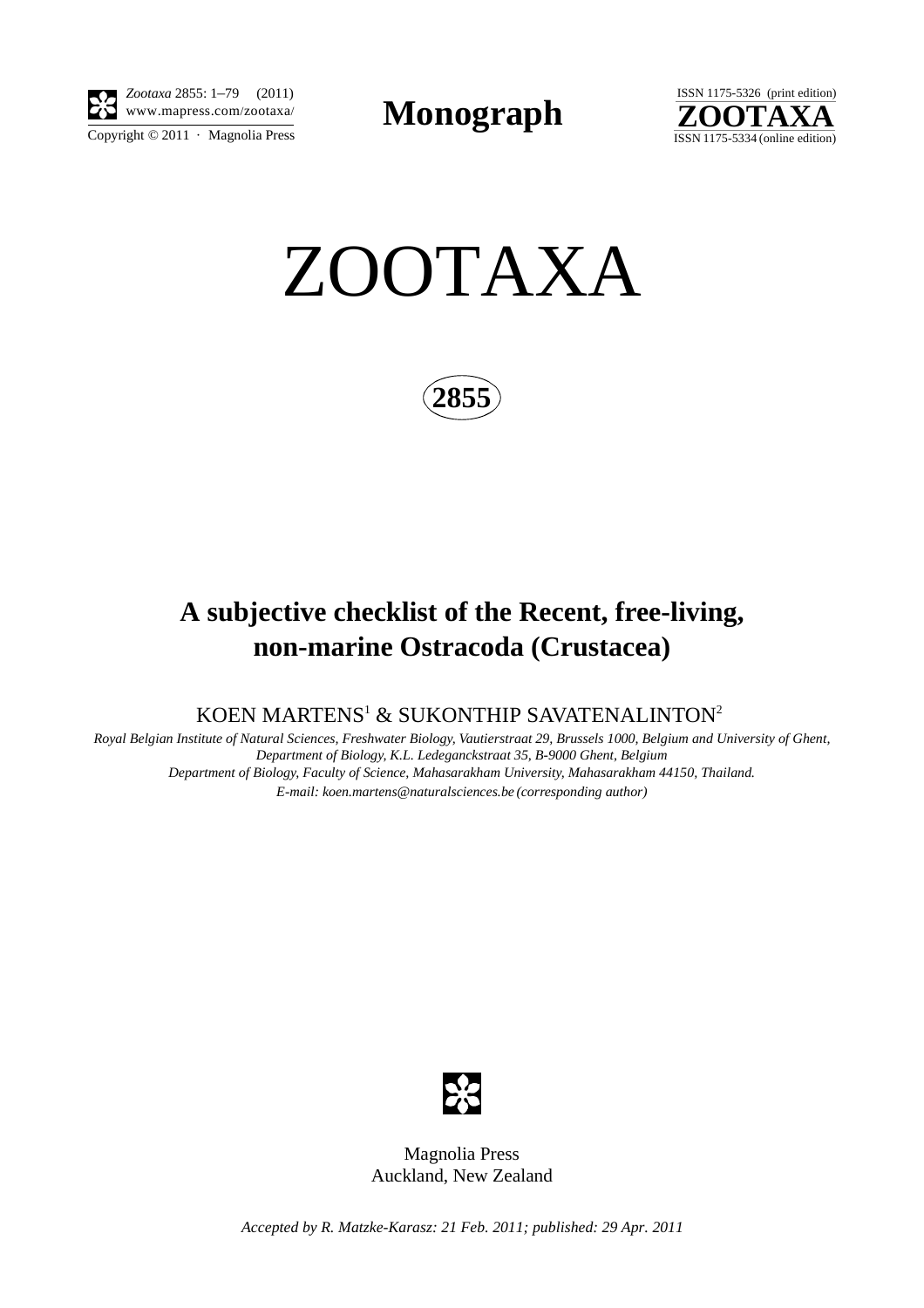

Copyright  $\odot$  2011 · Magnolia Press *Zootaxa* 2855: 1–79 (2011)

**Monograph** 



ZOOTAXA

**2855**

# **A subjective checklist of the Recent, free-living, non-marine Ostracoda (Crustacea)**

KOEN MARTENS<sup>1</sup> [& SUKONTHIP SAVATENALINTON](mailto:2koen.martens@naturalsciences.be)<sup>2</sup>

*Royal Belgian Institute of Natural Sciences, Freshwater Biology, Vautierstraat 29, Brussels 1000, Belgium and University of Ghent, Department of Biology, K.L. Ledeganckstraat 35, B-9000 Ghent, Belgium Department of Biology, Faculty of Science, Mahasarakham University, Mahasarakham 44150, Thailand. E-mail: koen.martens@naturalsciences.be (corresponding author)*



Magnolia Press Auckland, New Zealand

*Accepted by R. Matzke-Karasz: 21 Feb. 2011; published: 29 Apr. 2011*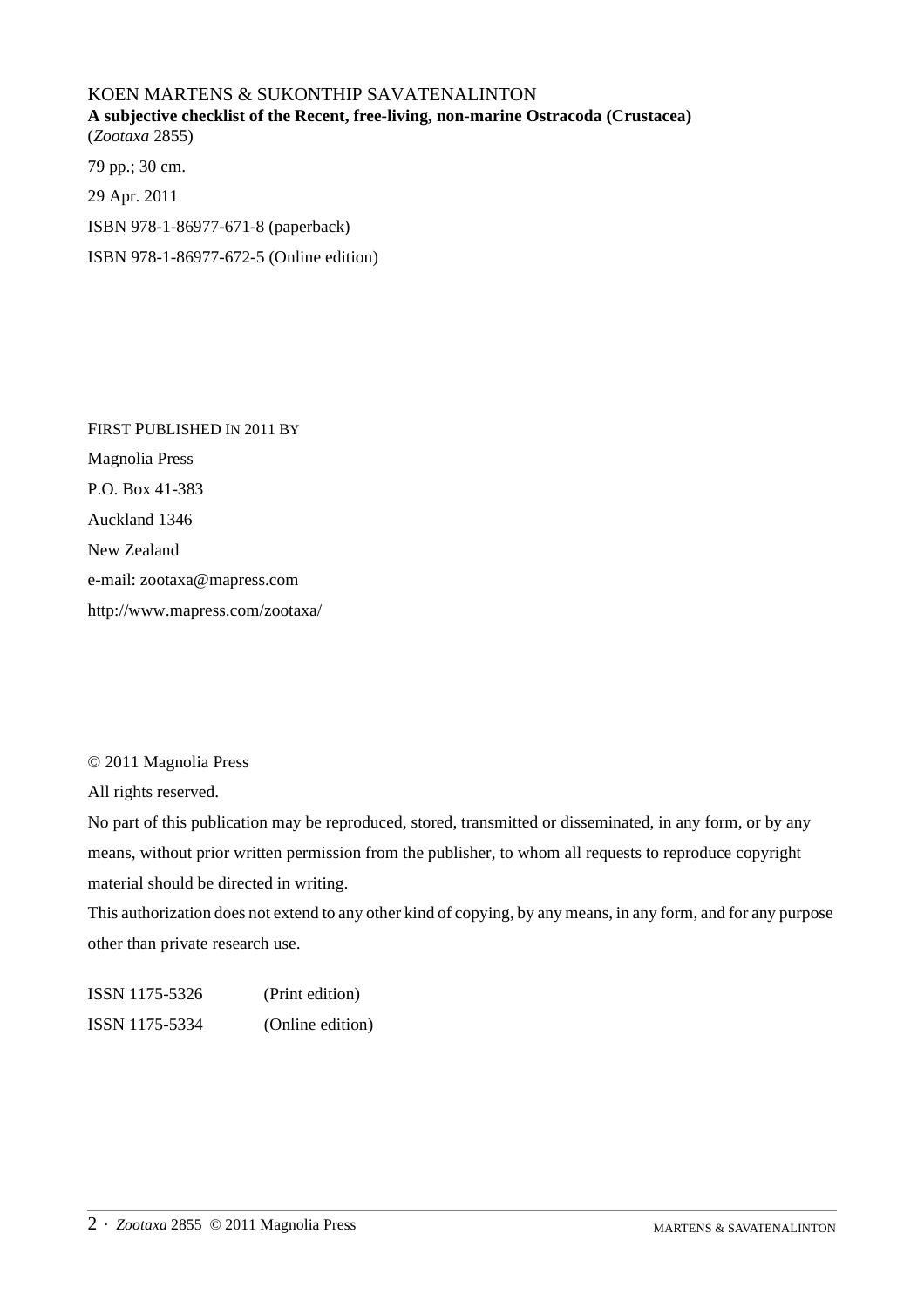## KOEN MARTENS & SUKONTHIP SAVATENALINTON **A subjective checklist of the Recent, free-living, non-marine Ostracoda (Crustacea)** (*Zootaxa* 2855)

79 pp.; 30 cm. 29 Apr. 2011 ISBN 978-1-86977-671-8 (paperback) ISBN 978-1-86977-672-5 (Online edition)

FIRST PUBLISHED IN 2011 BY Magnolia Press P.O. Box 41-383 Auckland 1346 New Zealand e-mail: zootaxa@mapress.com http://www.mapress.com/zootaxa/

### © 2011 Magnolia Press

All rights reserved.

No part of this publication may be reproduced, stored, transmitted or disseminated, in any form, or by any means, without prior written permission from the publisher, to whom all requests to reproduce copyright material should be directed in writing.

This authorization does not extend to any other kind of copying, by any means, in any form, and for any purpose other than private research use.

ISSN 1175-5326 (Print edition) ISSN 1175-5334 (Online edition)